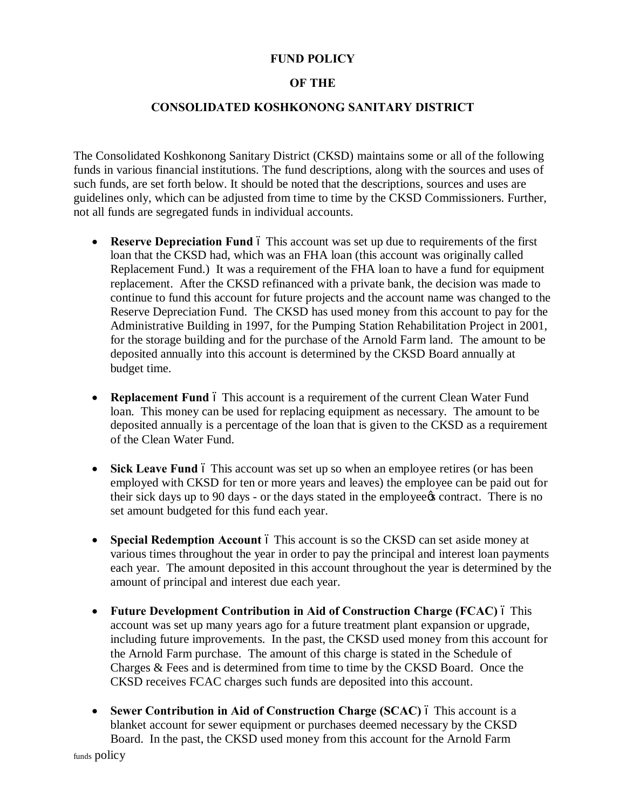## **FUND POLICY**

## **OF THE**

## **CONSOLIDATED KOSHKONONG SANITARY DISTRICT**

The Consolidated Koshkonong Sanitary District (CKSD) maintains some or all of the following funds in various financial institutions. The fund descriptions, along with the sources and uses of such funds, are set forth below. It should be noted that the descriptions, sources and uses are guidelines only, which can be adjusted from time to time by the CKSD Commissioners. Further, not all funds are segregated funds in individual accounts.

- **Reserve Depreciation Fund** 6 This account was set up due to requirements of the first loan that the CKSD had, which was an FHA loan (this account was originally called Replacement Fund.) It was a requirement of the FHA loan to have a fund for equipment replacement. After the CKSD refinanced with a private bank, the decision was made to continue to fund this account for future projects and the account name was changed to the Reserve Depreciation Fund. The CKSD has used money from this account to pay for the Administrative Building in 1997, for the Pumping Station Rehabilitation Project in 2001, for the storage building and for the purchase of the Arnold Farm land. The amount to be deposited annually into this account is determined by the CKSD Board annually at budget time.
- **Replacement Fund** 6 This account is a requirement of the current Clean Water Fund loan. This money can be used for replacing equipment as necessary. The amount to be deposited annually is a percentage of the loan that is given to the CKSD as a requirement of the Clean Water Fund.
- **Sick Leave Fund** 6 This account was set up so when an employee retires (or has been employed with CKSD for ten or more years and leaves) the employee can be paid out for their sick days up to 90 days - or the days stated in the employee to contract. There is no set amount budgeted for this fund each year.
- **Special Redemption Account** 6 This account is so the CKSD can set aside money at various times throughout the year in order to pay the principal and interest loan payments each year. The amount deposited in this account throughout the year is determined by the amount of principal and interest due each year.
- · **Future Development Contribution in Aid of Construction Charge (FCAC)** This account was set up many years ago for a future treatment plant expansion or upgrade, including future improvements. In the past, the CKSD used money from this account for the Arnold Farm purchase. The amount of this charge is stated in the Schedule of Charges & Fees and is determined from time to time by the CKSD Board. Once the CKSD receives FCAC charges such funds are deposited into this account.
- **Sewer Contribution in Aid of Construction Charge (SCAC)** 6 This account is a blanket account for sewer equipment or purchases deemed necessary by the CKSD Board. In the past, the CKSD used money from this account for the Arnold Farm